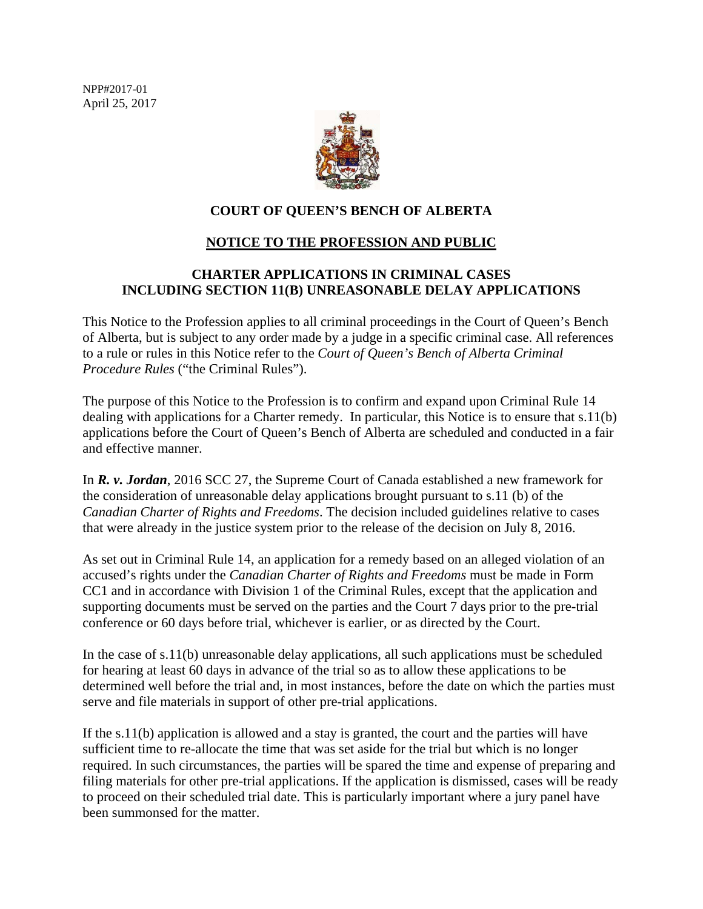NPP#2017-01 April 25, 2017



## **COURT OF QUEEN'S BENCH OF ALBERTA**

### **NOTICE TO THE PROFESSION AND PUBLIC**

# **CHARTER APPLICATIONS IN CRIMINAL CASES INCLUDING SECTION 11(B) UNREASONABLE DELAY APPLICATIONS**

This Notice to the Profession applies to all criminal proceedings in the Court of Queen's Bench of Alberta, but is subject to any order made by a judge in a specific criminal case. All references to a rule or rules in this Notice refer to the *Court of Queen's Bench of Alberta Criminal Procedure Rules* ("the Criminal Rules").

The purpose of this Notice to the Profession is to confirm and expand upon Criminal Rule 14 dealing with applications for a Charter remedy. In particular, this Notice is to ensure that s.11(b) applications before the Court of Queen's Bench of Alberta are scheduled and conducted in a fair and effective manner.

In *R. v. Jordan*, 2016 SCC 27, the Supreme Court of Canada established a new framework for the consideration of unreasonable delay applications brought pursuant to s.11 (b) of the *Canadian Charter of Rights and Freedoms*. The decision included guidelines relative to cases that were already in the justice system prior to the release of the decision on July 8, 2016.

As set out in Criminal Rule 14, an application for a remedy based on an alleged violation of an accused's rights under the *Canadian Charter of Rights and Freedoms* must be made in Form CC1 and in accordance with Division 1 of the Criminal Rules, except that the application and supporting documents must be served on the parties and the Court 7 days prior to the pre-trial conference or 60 days before trial, whichever is earlier, or as directed by the Court.

In the case of s.11(b) unreasonable delay applications, all such applications must be scheduled for hearing at least 60 days in advance of the trial so as to allow these applications to be determined well before the trial and, in most instances, before the date on which the parties must serve and file materials in support of other pre-trial applications.

If the s.11(b) application is allowed and a stay is granted, the court and the parties will have sufficient time to re-allocate the time that was set aside for the trial but which is no longer required. In such circumstances, the parties will be spared the time and expense of preparing and filing materials for other pre-trial applications. If the application is dismissed, cases will be ready to proceed on their scheduled trial date. This is particularly important where a jury panel have been summonsed for the matter.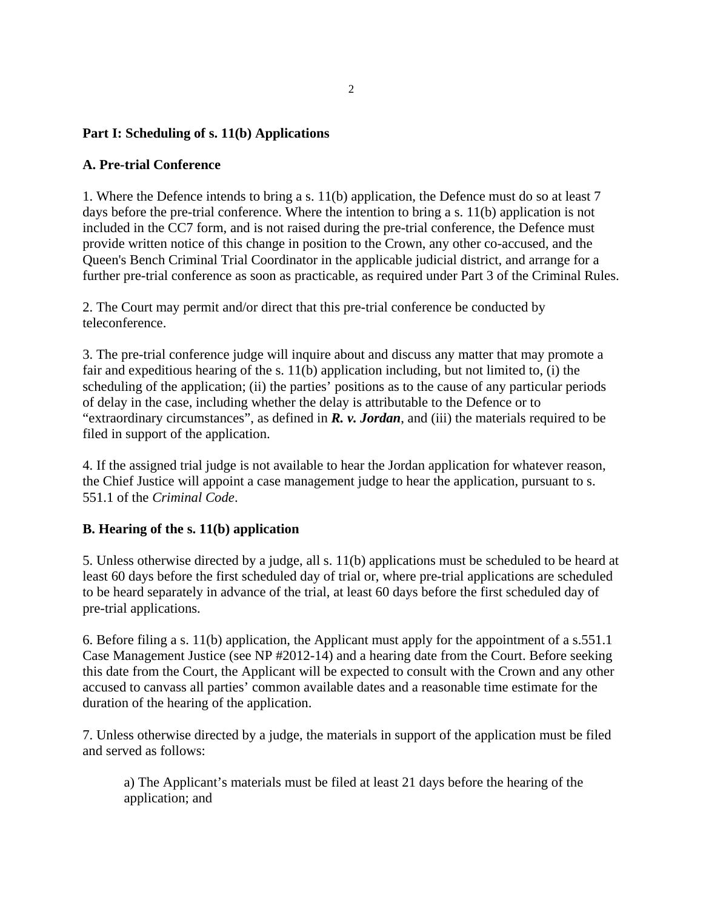### **Part I: Scheduling of s. 11(b) Applications**

#### **A. Pre-trial Conference**

1. Where the Defence intends to bring a s. 11(b) application, the Defence must do so at least 7 days before the pre-trial conference. Where the intention to bring a s. 11(b) application is not included in the CC7 form, and is not raised during the pre-trial conference, the Defence must provide written notice of this change in position to the Crown, any other co-accused, and the Queen's Bench Criminal Trial Coordinator in the applicable judicial district, and arrange for a further pre-trial conference as soon as practicable, as required under Part 3 of the Criminal Rules.

2. The Court may permit and/or direct that this pre-trial conference be conducted by teleconference.

3. The pre-trial conference judge will inquire about and discuss any matter that may promote a fair and expeditious hearing of the s. 11(b) application including, but not limited to, (i) the scheduling of the application; (ii) the parties' positions as to the cause of any particular periods of delay in the case, including whether the delay is attributable to the Defence or to "extraordinary circumstances", as defined in *R. v. Jordan*, and (iii) the materials required to be filed in support of the application.

4. If the assigned trial judge is not available to hear the Jordan application for whatever reason, the Chief Justice will appoint a case management judge to hear the application, pursuant to s. 551.1 of the *Criminal Code*.

#### **B. Hearing of the s. 11(b) application**

5. Unless otherwise directed by a judge, all s. 11(b) applications must be scheduled to be heard at least 60 days before the first scheduled day of trial or, where pre-trial applications are scheduled to be heard separately in advance of the trial, at least 60 days before the first scheduled day of pre-trial applications.

6. Before filing a s. 11(b) application, the Applicant must apply for the appointment of a s.551.1 Case Management Justice (see NP #2012-14) and a hearing date from the Court. Before seeking this date from the Court, the Applicant will be expected to consult with the Crown and any other accused to canvass all parties' common available dates and a reasonable time estimate for the duration of the hearing of the application.

7. Unless otherwise directed by a judge, the materials in support of the application must be filed and served as follows:

a) The Applicant's materials must be filed at least 21 days before the hearing of the application; and